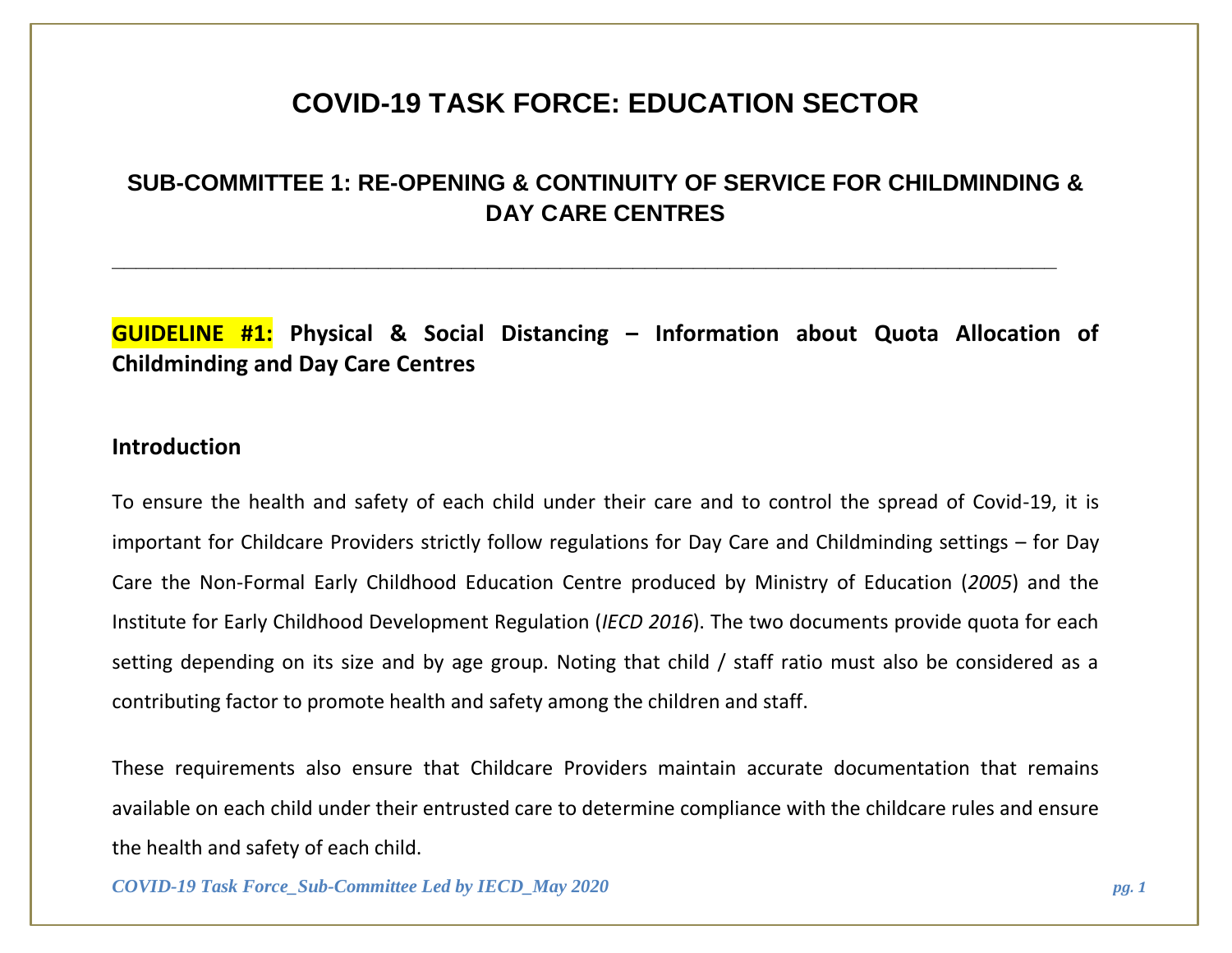# **COVID-19 TASK FORCE: EDUCATION SECTOR**

## **SUB-COMMITTEE 1: RE-OPENING & CONTINUITY OF SERVICE FOR CHILDMINDING & DAY CARE CENTRES**

**\_\_\_\_\_\_\_\_\_\_\_\_\_\_\_\_\_\_\_\_\_\_\_\_\_\_\_\_\_\_\_\_\_\_\_\_\_\_\_\_\_\_\_\_\_\_\_\_\_\_\_\_\_\_\_\_\_\_\_\_\_\_\_\_\_\_\_\_\_\_\_\_\_\_\_\_\_\_**

**GUIDELINE #1: Physical & Social Distancing – Information about Quota Allocation of Childminding and Day Care Centres**

#### **Introduction**

To ensure the health and safety of each child under their care and to control the spread of Covid-19, it is important for Childcare Providers strictly follow regulations for Day Care and Childminding settings – for Day Care the Non-Formal Early Childhood Education Centre produced by Ministry of Education (*2005*) and the Institute for Early Childhood Development Regulation (*IECD 2016*). The two documents provide quota for each setting depending on its size and by age group. Noting that child / staff ratio must also be considered as a contributing factor to promote health and safety among the children and staff.

These requirements also ensure that Childcare Providers maintain accurate documentation that remains available on each child under their entrusted care to determine compliance with the childcare rules and ensure the health and safety of each child.

*COVID-19 Task Force\_Sub-Committee Led by IECD\_May 2020 pg. 1*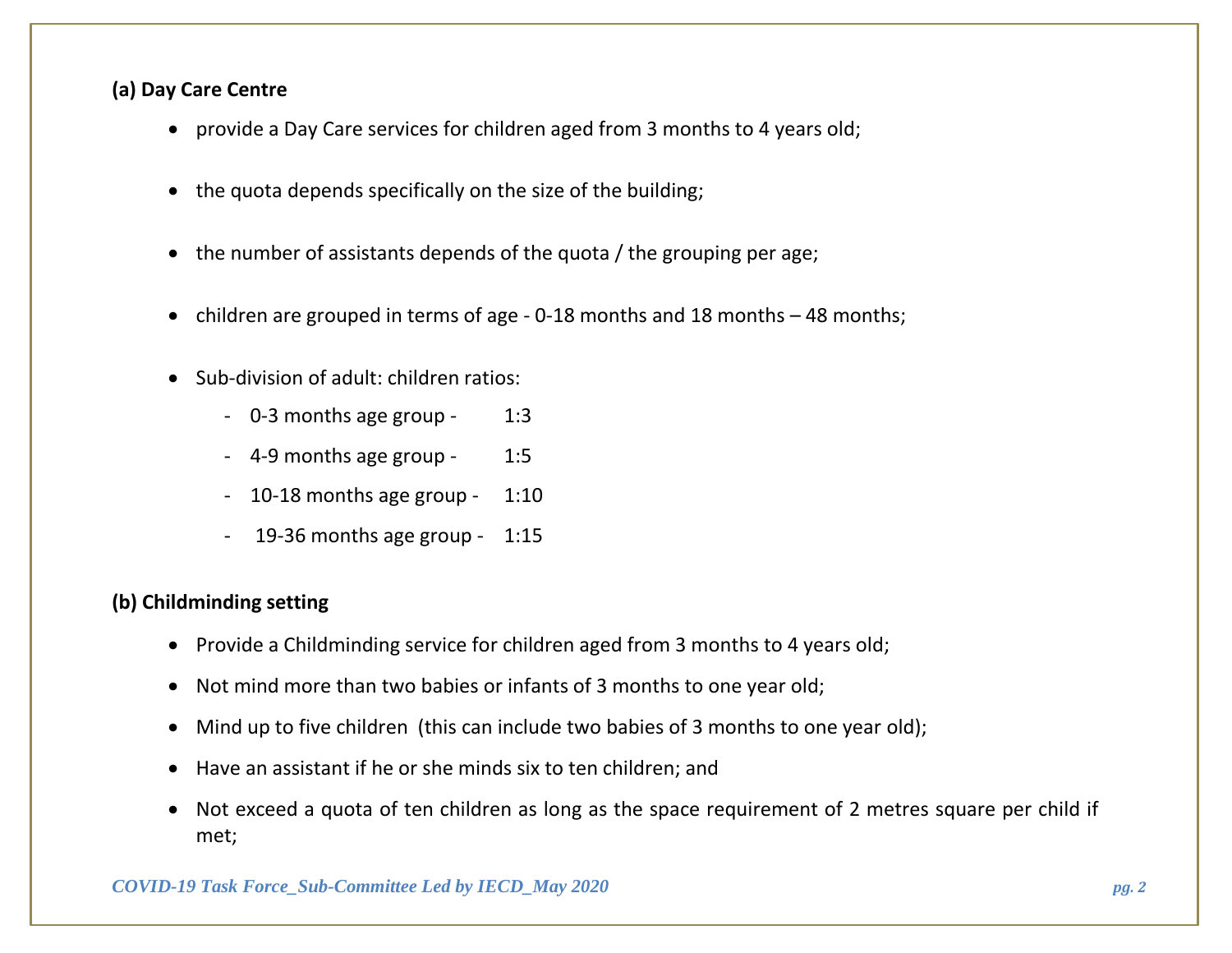### **(a) Day Care Centre**

- provide a Day Care services for children aged from 3 months to 4 years old;
- the quota depends specifically on the size of the building;
- the number of assistants depends of the quota / the grouping per age;
- children are grouped in terms of age 0-18 months and 18 months 48 months;
- Sub-division of adult: children ratios:
	- 0-3 months age group 1:3
	- 4-9 months age group 1:5
	- 10-18 months age group 1:10
	- 19-36 months age group 1:15

### **(b) Childminding setting**

- Provide a Childminding service for children aged from 3 months to 4 years old;
- Not mind more than two babies or infants of 3 months to one year old;
- Mind up to five children (this can include two babies of 3 months to one year old);
- Have an assistant if he or she minds six to ten children; and
- Not exceed a quota of ten children as long as the space requirement of 2 metres square per child if met;